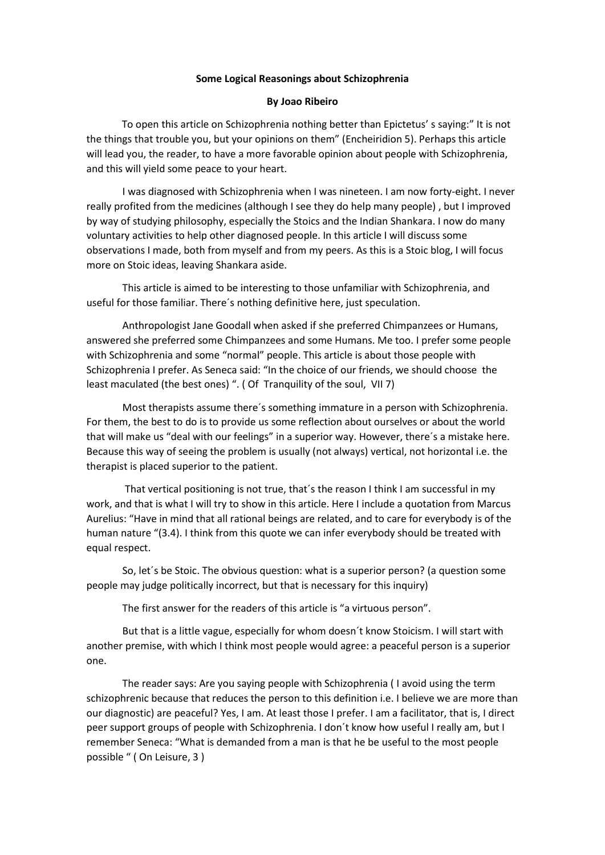## **Some Logical Reasonings about Schizophrenia**

## **By Joao Ribeiro**

 To open this article on Schizophrenia nothing better than Epictetus' s saying:" It is not the things that trouble you, but your opinions on them" (Encheiridion 5). Perhaps this article will lead you, the reader, to have a more favorable opinion about people with Schizophrenia, and this will yield some peace to your heart.

I was diagnosed with Schizophrenia when I was nineteen. I am now forty-eight. I never really profited from the medicines (although I see they do help many people) , but I improved by way of studying philosophy, especially the Stoics and the Indian Shankara. I now do many voluntary activities to help other diagnosed people. In this article I will discuss some observations I made, both from myself and from my peers. As this is a Stoic blog, I will focus more on Stoic ideas, leaving Shankara aside.

This article is aimed to be interesting to those unfamiliar with Schizophrenia, and useful for those familiar. There´s nothing definitive here, just speculation.

Anthropologist Jane Goodall when asked if she preferred Chimpanzees or Humans, answered she preferred some Chimpanzees and some Humans. Me too. I prefer some people with Schizophrenia and some "normal" people. This article is about those people with Schizophrenia I prefer. As Seneca said: "In the choice of our friends, we should choose the least maculated (the best ones) ". ( Of Tranquility of the soul, VII 7)

Most therapists assume there´s something immature in a person with Schizophrenia. For them, the best to do is to provide us some reflection about ourselves or about the world that will make us "deal with our feelings" in a superior way. However, there´s a mistake here. Because this way of seeing the problem is usually (not always) vertical, not horizontal i.e. the therapist is placed superior to the patient.

That vertical positioning is not true, that´s the reason I think I am successful in my work, and that is what I will try to show in this article. Here I include a quotation from Marcus Aurelius: "Have in mind that all rational beings are related, and to care for everybody is of the human nature "(3.4). I think from this quote we can infer everybody should be treated with equal respect.

So, let´s be Stoic. The obvious question: what is a superior person? (a question some people may judge politically incorrect, but that is necessary for this inquiry)

The first answer for the readers of this article is "a virtuous person".

But that is a little vague, especially for whom doesn´t know Stoicism. I will start with another premise, with which I think most people would agree: a peaceful person is a superior one.

The reader says: Are you saying people with Schizophrenia ( I avoid using the term schizophrenic because that reduces the person to this definition i.e. I believe we are more than our diagnostic) are peaceful? Yes, I am. At least those I prefer. I am a facilitator, that is, I direct peer support groups of people with Schizophrenia. I don´t know how useful I really am, but I remember Seneca: "What is demanded from a man is that he be useful to the most people possible " ( On Leisure, 3 )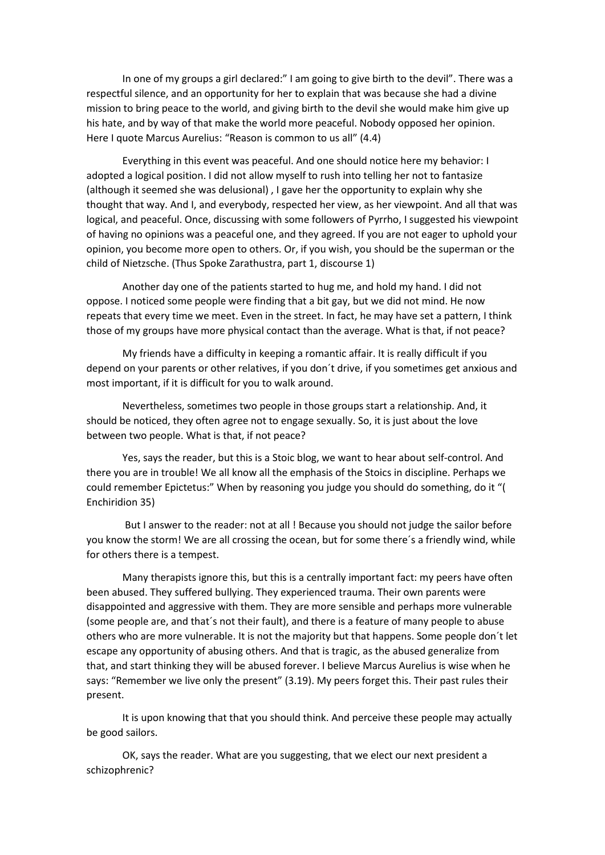In one of my groups a girl declared:" I am going to give birth to the devil". There was a respectful silence, and an opportunity for her to explain that was because she had a divine mission to bring peace to the world, and giving birth to the devil she would make him give up his hate, and by way of that make the world more peaceful. Nobody opposed her opinion. Here I quote Marcus Aurelius: "Reason is common to us all" (4.4)

Everything in this event was peaceful. And one should notice here my behavior: I adopted a logical position. I did not allow myself to rush into telling her not to fantasize (although it seemed she was delusional) , I gave her the opportunity to explain why she thought that way. And I, and everybody, respected her view, as her viewpoint. And all that was logical, and peaceful. Once, discussing with some followers of Pyrrho, I suggested his viewpoint of having no opinions was a peaceful one, and they agreed. If you are not eager to uphold your opinion, you become more open to others. Or, if you wish, you should be the superman or the child of Nietzsche. (Thus Spoke Zarathustra, part 1, discourse 1)

Another day one of the patients started to hug me, and hold my hand. I did not oppose. I noticed some people were finding that a bit gay, but we did not mind. He now repeats that every time we meet. Even in the street. In fact, he may have set a pattern, I think those of my groups have more physical contact than the average. What is that, if not peace?

My friends have a difficulty in keeping a romantic affair. It is really difficult if you depend on your parents or other relatives, if you don´t drive, if you sometimes get anxious and most important, if it is difficult for you to walk around.

Nevertheless, sometimes two people in those groups start a relationship. And, it should be noticed, they often agree not to engage sexually. So, it is just about the love between two people. What is that, if not peace?

Yes, says the reader, but this is a Stoic blog, we want to hear about self-control. And there you are in trouble! We all know all the emphasis of the Stoics in discipline. Perhaps we could remember Epictetus:" When by reasoning you judge you should do something, do it "( Enchiridion 35)

But I answer to the reader: not at all ! Because you should not judge the sailor before you know the storm! We are all crossing the ocean, but for some there´s a friendly wind, while for others there is a tempest.

Many therapists ignore this, but this is a centrally important fact: my peers have often been abused. They suffered bullying. They experienced trauma. Their own parents were disappointed and aggressive with them. They are more sensible and perhaps more vulnerable (some people are, and that´s not their fault), and there is a feature of many people to abuse others who are more vulnerable. It is not the majority but that happens. Some people don´t let escape any opportunity of abusing others. And that is tragic, as the abused generalize from that, and start thinking they will be abused forever. I believe Marcus Aurelius is wise when he says: "Remember we live only the present" (3.19). My peers forget this. Their past rules their present.

It is upon knowing that that you should think. And perceive these people may actually be good sailors.

OK, says the reader. What are you suggesting, that we elect our next president a schizophrenic?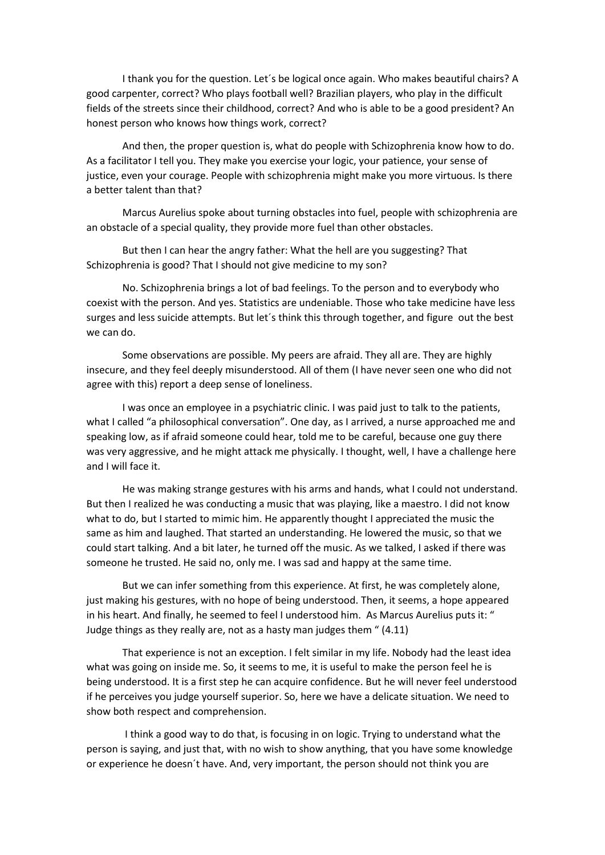I thank you for the question. Let´s be logical once again. Who makes beautiful chairs? A good carpenter, correct? Who plays football well? Brazilian players, who play in the difficult fields of the streets since their childhood, correct? And who is able to be a good president? An honest person who knows how things work, correct?

And then, the proper question is, what do people with Schizophrenia know how to do. As a facilitator I tell you. They make you exercise your logic, your patience, your sense of justice, even your courage. People with schizophrenia might make you more virtuous. Is there a better talent than that?

Marcus Aurelius spoke about turning obstacles into fuel, people with schizophrenia are an obstacle of a special quality, they provide more fuel than other obstacles.

But then I can hear the angry father: What the hell are you suggesting? That Schizophrenia is good? That I should not give medicine to my son?

No. Schizophrenia brings a lot of bad feelings. To the person and to everybody who coexist with the person. And yes. Statistics are undeniable. Those who take medicine have less surges and less suicide attempts. But let´s think this through together, and figure out the best we can do.

Some observations are possible. My peers are afraid. They all are. They are highly insecure, and they feel deeply misunderstood. All of them (I have never seen one who did not agree with this) report a deep sense of loneliness.

I was once an employee in a psychiatric clinic. I was paid just to talk to the patients, what I called "a philosophical conversation". One day, as I arrived, a nurse approached me and speaking low, as if afraid someone could hear, told me to be careful, because one guy there was very aggressive, and he might attack me physically. I thought, well, I have a challenge here and I will face it.

He was making strange gestures with his arms and hands, what I could not understand. But then I realized he was conducting a music that was playing, like a maestro. I did not know what to do, but I started to mimic him. He apparently thought I appreciated the music the same as him and laughed. That started an understanding. He lowered the music, so that we could start talking. And a bit later, he turned off the music. As we talked, I asked if there was someone he trusted. He said no, only me. I was sad and happy at the same time.

But we can infer something from this experience. At first, he was completely alone, just making his gestures, with no hope of being understood. Then, it seems, a hope appeared in his heart. And finally, he seemed to feel I understood him. As Marcus Aurelius puts it: " Judge things as they really are, not as a hasty man judges them " (4.11)

That experience is not an exception. I felt similar in my life. Nobody had the least idea what was going on inside me. So, it seems to me, it is useful to make the person feel he is being understood. It is a first step he can acquire confidence. But he will never feel understood if he perceives you judge yourself superior. So, here we have a delicate situation. We need to show both respect and comprehension.

I think a good way to do that, is focusing in on logic. Trying to understand what the person is saying, and just that, with no wish to show anything, that you have some knowledge or experience he doesn´t have. And, very important, the person should not think you are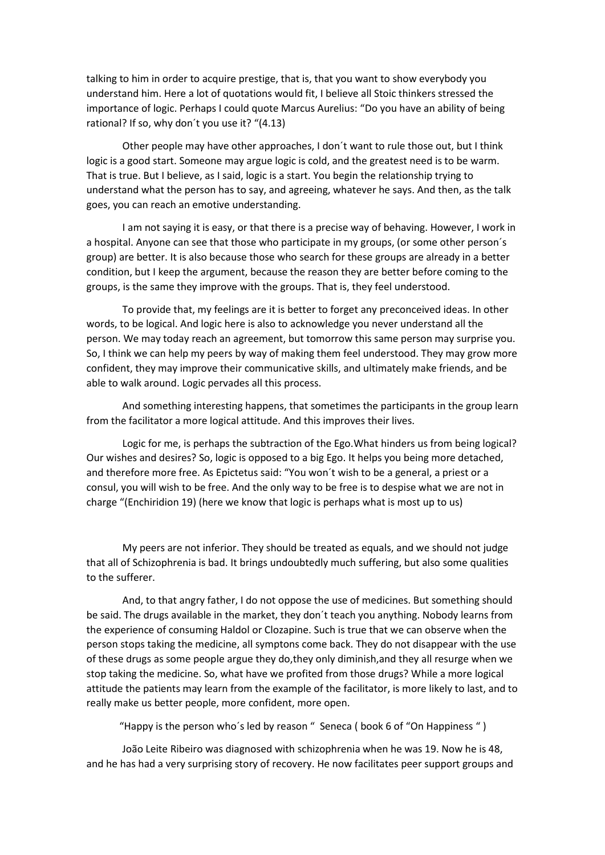talking to him in order to acquire prestige, that is, that you want to show everybody you understand him. Here a lot of quotations would fit, I believe all Stoic thinkers stressed the importance of logic. Perhaps I could quote Marcus Aurelius: "Do you have an ability of being rational? If so, why don´t you use it? "(4.13)

Other people may have other approaches, I don´t want to rule those out, but I think logic is a good start. Someone may argue logic is cold, and the greatest need is to be warm. That is true. But I believe, as I said, logic is a start. You begin the relationship trying to understand what the person has to say, and agreeing, whatever he says. And then, as the talk goes, you can reach an emotive understanding.

I am not saying it is easy, or that there is a precise way of behaving. However, I work in a hospital. Anyone can see that those who participate in my groups, (or some other person´s group) are better. It is also because those who search for these groups are already in a better condition, but I keep the argument, because the reason they are better before coming to the groups, is the same they improve with the groups. That is, they feel understood.

To provide that, my feelings are it is better to forget any preconceived ideas. In other words, to be logical. And logic here is also to acknowledge you never understand all the person. We may today reach an agreement, but tomorrow this same person may surprise you. So, I think we can help my peers by way of making them feel understood. They may grow more confident, they may improve their communicative skills, and ultimately make friends, and be able to walk around. Logic pervades all this process.

And something interesting happens, that sometimes the participants in the group learn from the facilitator a more logical attitude. And this improves their lives.

Logic for me, is perhaps the subtraction of the Ego.What hinders us from being logical? Our wishes and desires? So, logic is opposed to a big Ego. It helps you being more detached, and therefore more free. As Epictetus said: "You won´t wish to be a general, a priest or a consul, you will wish to be free. And the only way to be free is to despise what we are not in charge "(Enchiridion 19) (here we know that logic is perhaps what is most up to us)

My peers are not inferior. They should be treated as equals, and we should not judge that all of Schizophrenia is bad. It brings undoubtedly much suffering, but also some qualities to the sufferer.

And, to that angry father, I do not oppose the use of medicines. But something should be said. The drugs available in the market, they don´t teach you anything. Nobody learns from the experience of consuming Haldol or Clozapine. Such is true that we can observe when the person stops taking the medicine, all symptons come back. They do not disappear with the use of these drugs as some people argue they do,they only diminish,and they all resurge when we stop taking the medicine. So, what have we profited from those drugs? While a more logical attitude the patients may learn from the example of the facilitator, is more likely to last, and to really make us better people, more confident, more open.

"Happy is the person who´s led by reason " Seneca ( book 6 of "On Happiness " )

João Leite Ribeiro was diagnosed with schizophrenia when he was 19. Now he is 48, and he has had a very surprising story of recovery. He now facilitates peer support groups and